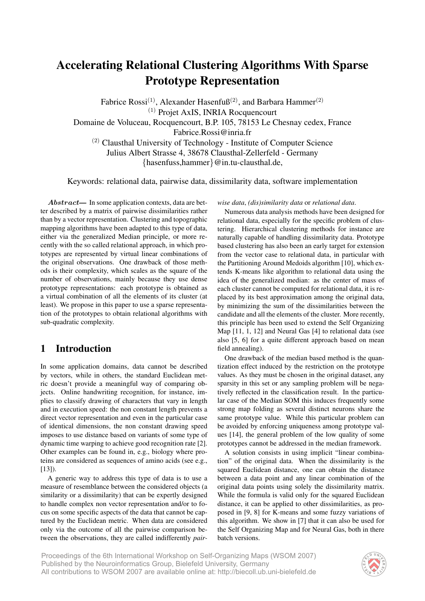# Accelerating Relational Clustering Algorithms With Sparse Prototype Representation

Fabrice Rossi<sup>(1)</sup>, Alexander Hasenfuß<sup>(2)</sup>, and Barbara Hammer<sup>(2)</sup> (1) Projet AxIS, INRIA Rocquencourt Domaine de Voluceau, Rocquencourt, B.P. 105, 78153 Le Chesnay cedex, France Fabrice.Rossi@inria.fr

(2) Clausthal University of Technology - Institute of Computer Science Julius Albert Strasse 4, 38678 Clausthal-Zellerfeld - Germany

{hasenfuss,hammer}@in.tu-clausthal.de,

Keywords: relational data, pairwise data, dissimilarity data, software implementation

Abstract— In some application contexts, data are better described by a matrix of pairwise dissimilarities rather than by a vector representation. Clustering and topographic mapping algorithms have been adapted to this type of data, either via the generalized Median principle, or more recently with the so called relational approach, in which prototypes are represented by virtual linear combinations of the original observations. One drawback of those methods is their complexity, which scales as the square of the number of observations, mainly because they use dense prototype representations: each prototype is obtained as a virtual combination of all the elements of its cluster (at least). We propose in this paper to use a sparse representation of the prototypes to obtain relational algorithms with sub-quadratic complexity.

# 1 Introduction

In some application domains, data cannot be described by vectors, while in others, the standard Euclidean metric doesn't provide a meaningful way of comparing objects. Online handwriting recognition, for instance, implies to classify drawing of characters that vary in length and in execution speed: the non constant length prevents a direct vector representation and even in the particular case of identical dimensions, the non constant drawing speed imposes to use distance based on variants of some type of dynamic time warping to achieve good recognition rate [2]. Other examples can be found in, e.g., biology where proteins are considered as sequences of amino acids (see e.g.,  $[13]$ ).

A generic way to address this type of data is to use a measure of resemblance between the considered objects (a similarity or a dissimilarity) that can be expertly designed to handle complex non vector representation and/or to focus on some specific aspects of the data that cannot be captured by the Euclidean metric. When data are considered only via the outcome of all the pairwise comparison between the observations, they are called indifferently *pair-* *wise data*, *(dis)similarity data* or *relational data*.

Numerous data analysis methods have been designed for relational data, especially for the specific problem of clustering. Hierarchical clustering methods for instance are naturally capable of handling dissimilarity data. Prototype based clustering has also been an early target for extension from the vector case to relational data, in particular with the Partitioning Around Medoids algorithm [10], which extends K-means like algorithm to relational data using the idea of the generalized median: as the center of mass of each cluster cannot be computed for relational data, it is replaced by its best approximation among the original data, by minimizing the sum of the dissimilarities between the candidate and all the elements of the cluster. More recently, this principle has been used to extend the Self Organizing Map [11, 1, 12] and Neural Gas [4] to relational data (see also [5, 6] for a quite different approach based on mean field annealing).

One drawback of the median based method is the quantization effect induced by the restriction on the prototype values. As they must be chosen in the original dataset, any sparsity in this set or any sampling problem will be negatively reflected in the classification result. In the particular case of the Median SOM this induces frequently some strong map folding as several distinct neurons share the same prototype value. While this particular problem can be avoided by enforcing uniqueness among prototype values [14], the general problem of the low quality of some prototypes cannot be addressed in the median framework.

A solution consists in using implicit "linear combination" of the original data. When the dissimilarity is the squared Euclidean distance, one can obtain the distance between a data point and any linear combination of the original data points using solely the dissimilarity matrix. While the formula is valid only for the squared Euclidean distance, it can be applied to other dissimilarities, as proposed in [9, 8] for K-means and some fuzzy variations of this algorithm. We show in [7] that it can also be used for the Self Organizing Map and for Neural Gas, both in there batch versions.

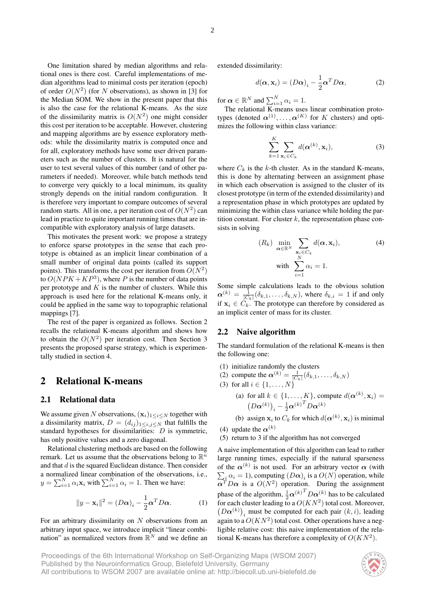One limitation shared by median algorithms and relational ones is there cost. Careful implementations of median algorithms lead to minimal costs per iteration (epoch) of order  $O(N^2)$  (for N observations), as shown in [3] for the Median SOM. We show in the present paper that this is also the case for the relational K-means. As the size of the dissimilarity matrix is  $O(N^2)$  one might consider this cost per iteration to be acceptable. However, clustering and mapping algorithms are by essence exploratory methods: while the dissimilarity matrix is computed once and for all, exploratory methods have some user driven parameters such as the number of clusters. It is natural for the user to test several values of this number (and of other parameters if needed). Moreover, while batch methods tend to converge very quickly to a local minimum, its quality strongly depends on the initial random configuration. It is therefore very important to compare outcomes of several random starts. All in one, a per iteration cost of  $O(N^2)$  can lead in practice to quite important running times that are incompatible with exploratory analysis of large datasets.

This motivates the present work: we propose a strategy to enforce sparse prototypes in the sense that each prototype is obtained as an implicit linear combination of a small number of original data points (called its support points). This transforms the cost per iteration from  $O(N^2)$ to  $O(NPK + KP^3)$ , where P is the number of data points per prototype and  $K$  is the number of clusters. While this approach is used here for the relational K-means only, it could be applied in the same way to topographic relational mappings [7].

The rest of the paper is organized as follows. Section 2 recalls the relational K-means algorithm and shows how to obtain the  $O(N^2)$  per iteration cost. Then Section 3 presents the proposed sparse strategy, which is experimentally studied in section 4.

## 2 Relational K-means

### 2.1 Relational data

We assume given N observations,  $(x_i)_{1\leq i\leq N}$  together with a dissimilarity matrix,  $D = (d_{ij})_{1 \leq i,j \leq N}$  that fulfills the standard hypotheses for dissimilarities: D is symmetric, has only positive values and a zero diagonal.

Relational clustering methods are based on the following remark. Let us assume that the observations belong to  $\mathbb{R}^n$ and that  $d$  is the squared Euclidean distance. Then consider a normalized linear combination of the observations, i.e.,  $y = \sum_{i=1}^{N} \alpha_i \mathbf{x}_i$  with  $\sum_{i=1}^{N} \alpha_i = 1$ . Then we have:

$$
||y - \mathbf{x}_i||^2 = (D\alpha)_i - \frac{1}{2}\alpha^T D\alpha.
$$
 (1)

For an arbitrary dissimilarity on  $N$  observations from an arbitrary input space, we introduce implicit "linear combination" as normalized vectors from  $\mathbb{R}^N$  and we define an

extended dissimilarity:

$$
d(\boldsymbol{\alpha}, \mathbf{x}_i) = (D\boldsymbol{\alpha})_i - \frac{1}{2}\boldsymbol{\alpha}^T D\boldsymbol{\alpha},
$$
 (2)

for  $\boldsymbol{\alpha} \in \mathbb{R}^N$  and  $\sum_{i=1}^N \alpha_i = 1$ .

The relational K-means uses linear combination prototypes (denoted  $\alpha^{(1)}, \ldots, \alpha^{(K)}$  for K clusters) and optimizes the following within class variance:

$$
\sum_{k=1}^{K} \sum_{\mathbf{x}_i \in C_k} d(\boldsymbol{\alpha}^{(k)}, \mathbf{x}_i),
$$
\n(3)

where  $C_k$  is the k-th cluster. As in the standard K-means, this is done by alternating between an assignment phase in which each observation is assigned to the cluster of its closest prototype (in term of the extended dissimilarity) and a representation phase in which prototypes are updated by minimizing the within class variance while holding the partition constant. For cluster  $k$ , the representation phase consists in solving

$$
(R_k) \min_{\mathbf{\alpha} \in \mathbb{R}^N} \sum_{\mathbf{x}_i \in C_k} d(\mathbf{\alpha}, \mathbf{x}_i),
$$
  
with 
$$
\sum_{i=1}^N \alpha_i = 1.
$$
 (4)

Some simple calculations leads to the obvious solution  $\boldsymbol{\alpha}^{(k)} = \frac{1}{|C_k|}(\delta_{k,1}, \dots, \delta_{k,N}),$  where  $\delta_{k,i} = 1$  if and only if  $x_i \in C_k$ . The prototype can therefore by considered as an implicit center of mass for its cluster.

### 2.2 Naive algorithm

The standard formulation of the relational K-means is then the following one:

- (1) initialize randomly the clusters
- (2) compute the  $\boldsymbol{\alpha}^{(k)} = \frac{1}{|C_k|}(\delta_{k,1},\ldots,\delta_{k,N})$
- (3) for all  $i \in \{1, ..., N\}$ 
	- (a) for all  $k \in \{1, ..., K\}$ , compute  $d(\boldsymbol{\alpha}^{(k)}, \mathbf{x}_i) =$  $(D\boldsymbol{\alpha}^{(k)})_i - \frac{1}{2}\boldsymbol{\alpha}^{(k)}^T D\boldsymbol{\alpha}^{(k)}$

(b) assign  $\mathbf{x}_i$  to  $C_k$  for which  $d(\boldsymbol{\alpha}^{(k)}, \mathbf{x}_i)$  is minimal

- (4) update the  $\alpha^{(k)}$
- (5) return to 3 if the algorithm has not converged

A naive implementation of this algorithm can lead to rather large running times, especially if the natural sparseness of the  $\alpha^{(k)}$  is not used. For an arbitrary vector  $\alpha$  (with  $\sum_i \alpha_i = 1$ ), computing  $(D\alpha)_i$  is a  $O(N)$  operation, while  $\alpha^T D \alpha$  is a  $O(N^2)$  operation. During the assignment phase of the algorithm,  $\frac{1}{2} \alpha^{(k)}^T D \alpha^{(k)}$  has to be calculated for each cluster leading to a  $O(KN^2)$  total cost. Moreover,  $(D\alpha^{(k)})$ <sub>i</sub> must be computed for each pair  $(k, i)$ , leading again to a  $O(KN^2)$  total cost. Other operations have a negligible relative cost: this naive implementation of the relational K-means has therefore a complexity of  $O(KN^2)$ .

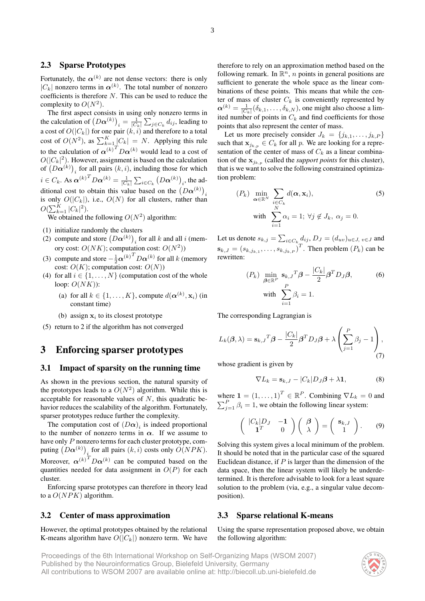### 2.3 Sparse Prototypes

Fortunately, the  $\alpha^{(k)}$  are not dense vectors: there is only  $|C_k|$  nonzero terms in  $\alpha^{(k)}$ . The total number of nonzero coefficients is therefore N. This can be used to reduce the complexity to  $O(N^2)$ .

The first aspect consists in using only nonzero terms in the calculation of  $\left(D\pmb{\alpha}^{(k)}\right)_i = \frac{1}{|C_k|} \sum_{j \in C_k} d_{ij}$ , leading to a cost of  $O(|C_k|)$  for one pair  $(k,i)$  and therefore to a total cost of  $O(N^2)$ , as  $\sum_{k=1}^{K} |C_k| = N$ . Applying this rule to the calculation of  $\alpha^{(k)}^{T}D\alpha^{(k)}$  would lead to a cost of  $O(|C_k|^2)$ . However, assignment is based on the calculation of  $(D\alpha^{(k)})$ , for all pairs  $(k, i)$ , including those for which i  $i \in C_k$ . As  ${\alpha^{(k)}}^T D {\alpha^{(k)}} = \frac{1}{|C_k|} \sum_{i \in C_k} {\left(D {\alpha^{(k)}}\right)_i}$ , the additional cost to obtain this value based on the  $(D\alpha^{(k)})$ is only  $O(|C_k|)$ , i.e.,  $O(N)$  for all clusters, rather than  $O(\sum_{k=1}^K |C_k|^2).$ 

We obtained the following  $O(N^2)$  algorithm:

- (1) initialize randomly the clusters
- (2) compute and store  $(D\alpha^{(k)})_i$  for all k and all i (memory cost:  $O(NK)$ ; computation cost:  $O(N^2)$ )
- (3) compute and store  $-\frac{1}{2}\boldsymbol{\alpha}^{(k)}^T D \boldsymbol{\alpha}^{(k)}$  for all k (memory cost:  $O(K)$ ; computation cost:  $O(N)$ )
- (4) for all  $i \in \{1, \ldots, N\}$  (computation cost of the whole loop:  $O(NK)$ :
	- (a) for all  $k \in \{1, \ldots, K\}$ , compute  $d(\boldsymbol{\alpha}^{(k)}, \mathbf{x}_i)$  (in constant time)
	- (b) assign  $x_i$  to its closest prototype
- (5) return to 2 if the algorithm has not converged

### 3 Enforcing sparser prototypes

### 3.1 Impact of sparsity on the running time

As shown in the previous section, the natural sparsity of the prototypes leads to a  $O(N^2)$  algorithm. While this is acceptable for reasonable values of  $N$ , this quadratic behavior reduces the scalability of the algorithm. Fortunately, sparser prototypes reduce further the complexity.

The computation cost of  $(D\alpha)_i$  is indeed proportional to the number of nonzero terms in  $\alpha$ . If we assume to have only P nonzero terms for each cluster prototype, computing  $(D\alpha^{(k)})$ , for all pairs  $(k, i)$  costs only  $O(NPK)$ . i Moreover,  ${\alpha^{(k)}}^T D {\alpha^{(k)}}$  can be computed based on the quantities needed for data assignment in  $O(P)$  for each cluster.

Enforcing sparse prototypes can therefore in theory lead to a  $O(NPK)$  algorithm.

### 3.2 Center of mass approximation

However, the optimal prototypes obtained by the relational K-means algorithm have  $O(|C_k|)$  nonzero term. We have therefore to rely on an approximation method based on the following remark. In  $\mathbb{R}^n$ , *n* points in general positions are sufficient to generate the whole space as the linear combinations of these points. This means that while the center of mass of cluster  $C_k$  is conveniently represented by  $\boldsymbol{\alpha}^{(k)} = \frac{1}{|C_k|}(\delta_{k,1}, \dots, \delta_{k,N})$ , one might also choose a limited number of points in  $C_k$  and find coefficients for those points that also represent the center of mass.

Let us more precisely consider  $J_k = \{j_{k,1}, \ldots, j_{k,P}\}\$ such that  $x_{j_{k,p}} \in C_k$  for all p. We are looking for a representation of the center of mass of  $C_k$  as a linear combination of the  $x_{j_{k,p}}$  (called the *support points* for this cluster), that is we want to solve the following constrained optimization problem:

$$
(P_k) \min_{\alpha \in \mathbb{R}^N} \sum_{i \in C_k} d(\alpha, \mathbf{x}_i),
$$
  
with 
$$
\sum_{i=1}^N \alpha_i = 1; \forall j \notin J_k, \ \alpha_j = 0.
$$
 (5)

Let us denote  $s_{k,j} = \sum_{i \in C_k} d_{ij}, D_J = (d_{uv})_{u \in J, v \in J}$  and  $\mathbf{s}_{k,J} = (s_{k,j_{k,1}}, \dots, s_{k,j_{k,P}})^T$ . Then problem  $(P_k)$  can be rewritten:

$$
(P_k) \min_{\boldsymbol{\beta} \in \mathbb{R}^P} \mathbf{s}_{k,J}^T \boldsymbol{\beta} - \frac{|C_k|}{2} \boldsymbol{\beta}^T D_J \boldsymbol{\beta},
$$
\n
$$
\text{with } \sum_{i=1}^P \beta_i = 1.
$$
\n
$$
(6)
$$

The corresponding Lagrangian is

$$
L_k(\boldsymbol{\beta}, \lambda) = \mathbf{s}_{k,J}{}^T \boldsymbol{\beta} - \frac{|C_k|}{2} \boldsymbol{\beta}^T D_J \boldsymbol{\beta} + \lambda \left( \sum_{j=1}^P \beta_j - 1 \right), \tag{7}
$$

whose gradient is given by

$$
\nabla L_k = \mathbf{s}_{k,J} - |C_k| D_J \boldsymbol{\beta} + \lambda \mathbf{1},\tag{8}
$$

where  $\mathbf{1} = (1, \dots, 1)^T \in \mathbb{R}^P$ . Combining  $\nabla L_k = 0$  and  $\sum_{j=1}^{P} \beta_i = 1$ , we obtain the following linear system:

$$
\left(\begin{array}{cc} |C_k|D_J & -1 \\ 1^T & 0 \end{array}\right) \left(\begin{array}{c} \beta \\ \lambda \end{array}\right) = \left(\begin{array}{c} \mathbf{s}_{k,J} \\ 1 \end{array}\right). \tag{9}
$$

Solving this system gives a local minimum of the problem. It should be noted that in the particular case of the squared Euclidean distance, if  $P$  is larger than the dimension of the data space, then the linear system will likely be underdetermined. It is therefore advisable to look for a least square solution to the problem (via, e.g., a singular value decomposition).

### 3.3 Sparse relational K-means

Using the sparse representation proposed above, we obtain the following algorithm:

Proceedings of the 6th International Workshop on Self-Organizing Maps (WSOM 2007) Published by the Neuroinformatics Group, Bielefeld University, Germany All contributions to WSOM 2007 are available online at: http://biecoll.ub.uni-bielefeld.de

### **U N L** $\frac{1}{2}$ **EE**  $L$ **R**  $\mathcal{G}$ **L I E T**  $\frac{1}{2}$ **Y ●**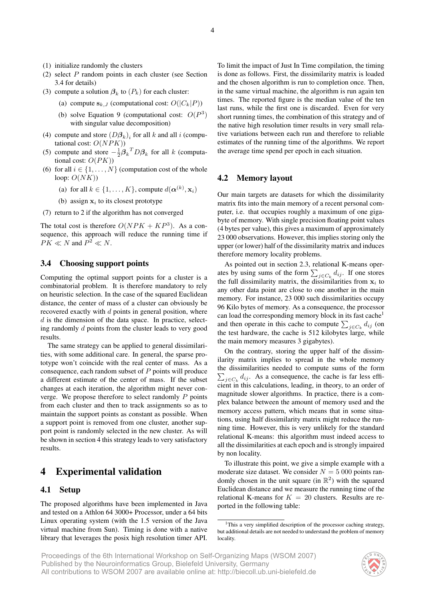- (1) initialize randomly the clusters
- (2) select P random points in each cluster (see Section 3.4 for details)
- (3) compute a solution  $\beta_k$  to  $(P_k)$  for each cluster:
	- (a) compute  $s_{k,J}$  (computational cost:  $O(|C_k|P)$ )
	- (b) solve Equation 9 (computational cost:  $O(P^3)$ with singular value decomposition)
- (4) compute and store  $(D\beta_k)_i$  for all k and all i (computational cost:  $O(NPK)$ )
- (5) compute and store  $-\frac{1}{2}\beta_k^T D \beta_k$  for all k (computational cost:  $O(PK)$ )
- (6) for all  $i \in \{1, \ldots, N\}$  (computation cost of the whole loop:  $O(NK)$ 
	- (a) for all  $k \in \{1, ..., K\}$ , compute  $d(\boldsymbol{\alpha}^{(k)}, \mathbf{x}_i)$
	- (b) assign  $x_i$  to its closest prototype
- (7) return to 2 if the algorithm has not converged

The total cost is therefore  $O(NPK + KP^3)$ . As a consequence, this approach will reduce the running time if  $PK \ll N$  and  $P^2 \ll N$ .

### 3.4 Choosing support points

Computing the optimal support points for a cluster is a combinatorial problem. It is therefore mandatory to rely on heuristic selection. In the case of the squared Euclidean distance, the center of mass of a cluster can obviously be recovered exactly with d points in general position, where  $d$  is the dimension of the data space. In practice, selecting randomly d points from the cluster leads to very good results.

The same strategy can be applied to general dissimilarities, with some additional care. In general, the sparse prototype won't coincide with the real center of mass. As a consequence, each random subset of P points will produce a different estimate of the center of mass. If the subset changes at each iteration, the algorithm might never converge. We propose therefore to select randomly  $P$  points from each cluster and then to track assignments so as to maintain the support points as constant as possible. When a support point is removed from one cluster, another support point is randomly selected in the new cluster. As will be shown in section 4 this strategy leads to very satisfactory results.

# 4 Experimental validation

### 4.1 Setup

The proposed algorithms have been implemented in Java and tested on a Athlon 64 3000+ Processor, under a 64 bits Linux operating system (with the 1.5 version of the Java virtual machine from Sun). Timing is done with a native library that leverages the posix high resolution timer API. To limit the impact of Just In Time compilation, the timing is done as follows. First, the dissimilarity matrix is loaded and the chosen algorithm is run to completion once. Then, in the same virtual machine, the algorithm is run again ten times. The reported figure is the median value of the ten last runs, while the first one is discarded. Even for very short running times, the combination of this strategy and of the native high resolution timer results in very small relative variations between each run and therefore to reliable estimates of the running time of the algorithms. We report the average time spend per epoch in each situation.

### 4.2 Memory layout

Our main targets are datasets for which the dissimilarity matrix fits into the main memory of a recent personal computer, i.e. that occupies roughly a maximum of one gigabyte of memory. With single precision floating point values (4 bytes per value), this gives a maximum of approximately 23 000 observations. However, this implies storing only the upper (or lower) half of the dissimilarity matrix and induces therefore memory locality problems.

As pointed out in section 2.3, relational K-means operates by using sums of the form  $\sum_{j \in C_k} d_{ij}$ . If one stores the full dissimilarity matrix, the dissimilarities from  $x_i$  to any other data point are close to one another in the main memory. For instance, 23 000 such dissimilarities occupy 96 Kilo bytes of memory. As a consequence, the processor can load the corresponding memory block in its fast cache<sup>1</sup> and then operate in this cache to compute  $\sum_{j \in C_k} d_{ij}$  (on the test hardware, the cache is 512 kilobytes large, while the main memory measures 3 gigabytes).

On the contrary, storing the upper half of the dissimilarity matrix implies to spread in the whole memory the dissimilarities needed to compute sums of the form  $\sum_{j \in C_k} d_{ij}$ . As a consequence, the cache is far less efficient in this calculations, leading, in theory, to an order of magnitude slower algorithms. In practice, there is a complex balance between the amount of memory used and the memory access pattern, which means that in some situations, using half dissimilarity matrix might reduce the running time. However, this is very unlikely for the standard relational K-means: this algorithm must indeed access to all the dissimilarities at each epoch and is strongly impaired by non locality.

To illustrate this point, we give a simple example with a moderate size dataset. We consider  $N = 5000$  points randomly chosen in the unit square (in  $\mathbb{R}^2$ ) with the squared Euclidean distance and we measure the running time of the relational K-means for  $K = 20$  clusters. Results are reported in the following table:



<sup>&</sup>lt;sup>1</sup>This a very simplified description of the processor caching strategy, but additional details are not needed to understand the problem of memory locality.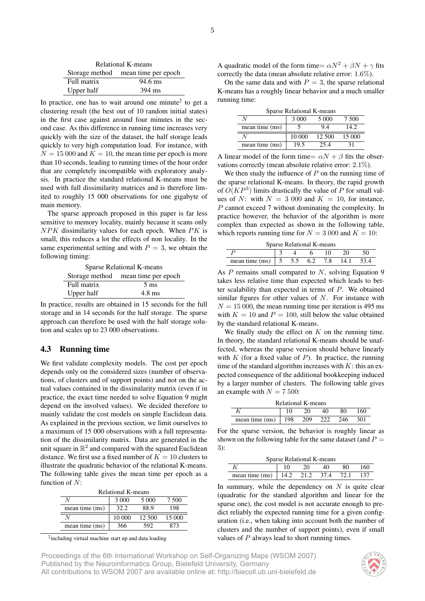| Relational K-means                 |  |  |  |  |  |
|------------------------------------|--|--|--|--|--|
| Storage method mean time per epoch |  |  |  |  |  |
| 94.6 ms<br>Full matrix             |  |  |  |  |  |
| Upper half<br>394 ms               |  |  |  |  |  |

In practice, one has to wait around one minute<sup>2</sup> to get a clustering result (the best out of 10 random initial states) in the first case against around four minutes in the second case. As this difference in running time increases very quickly with the size of the dataset, the half storage leads quickly to very high computation load. For instance, with  $N = 15000$  and  $K = 10$ , the mean time per epoch is more than 10 seconds, leading to running times of the hour order that are completely incompatible with exploratory analysis. In practice the standard relational K-means must be used with full dissimilarity matrices and is therefore limited to roughly 15 000 observations for one gigabyte of main memory.

The sparse approach proposed in this paper is far less sensitive to memory locality, mainly because it scans only  $NPK$  dissimilarity values for each epoch. When  $PK$  is small, this reduces a lot the effects of non locality. In the same experimental setting and with  $P = 3$ , we obtain the following timing:

| Sparse Relational K-means          |  |  |  |  |  |  |
|------------------------------------|--|--|--|--|--|--|
| Storage method mean time per epoch |  |  |  |  |  |  |
| Full matrix<br>$5 \text{ ms}$      |  |  |  |  |  |  |
| Upper half<br>$4.8 \text{ ms}$     |  |  |  |  |  |  |

In practice, results are obtained in 15 seconds for the full storage and in 14 seconds for the half storage. The sparse approach can therefore be used with the half storage solution and scales up to 23 000 observations.

### 4.3 Running time

We first validate complexity models. The cost per epoch depends only on the considered sizes (number of observations, of clusters and of support points) and not on the actual values contained in the dissimilarity matrix (even if in practice, the exact time needed to solve Equation 9 might depend on the involved values). We decided therefore to mainly validate the cost models on simple Euclidean data. As explained in the previous section, we limit ourselves to a maximum of 15 000 observations with a full representation of the dissimilarity matrix. Data are generated in the unit square in  $\mathbb{R}^2$  and compared with the squared Euclidean distance. We first use a fixed number of  $K = 10$  clusters to illustrate the quadratic behavior of the relational K-means. The following table gives the mean time per epoch as a function of  $N$ :

| Relational K-means           |                     |        |        |  |  |  |  |
|------------------------------|---------------------|--------|--------|--|--|--|--|
| 3.000<br>5 000<br>7.500      |                     |        |        |  |  |  |  |
| mean time (ms)               | 32.2<br>88.9<br>198 |        |        |  |  |  |  |
|                              | 10 000              | 12.500 | 15 000 |  |  |  |  |
| 366<br>mean time (ms)<br>592 |                     |        |        |  |  |  |  |

<sup>2</sup>including virtual machine start up and data loading

A quadratic model of the form time=  $\alpha N^2 + \beta N + \gamma$  fits correctly the data (mean absolute relative error: 1.6%).

On the same data and with  $P = 3$ , the sparse relational K-means has a roughly linear behavior and a much smaller running time:

| Sparse Relational K-means      |        |        |        |  |  |  |  |
|--------------------------------|--------|--------|--------|--|--|--|--|
| 3 000<br>5 0 0 0<br>7.500      |        |        |        |  |  |  |  |
| mean time (ms)<br>14.2<br>94   |        |        |        |  |  |  |  |
|                                | 10 000 | 12.500 | 15 000 |  |  |  |  |
| mean time (ms)<br>19.5<br>25.4 |        |        |        |  |  |  |  |

A linear model of the form time=  $\alpha N + \beta$  fits the observations correctly (mean absolute relative error: 2.1%).

We then study the influence of  $P$  on the running time of the sparse relational K-means. In theory, the rapid growth of  $O(KP<sup>3</sup>)$  limits drastically the value of P for small values of N: with  $N = 3000$  and  $K = 10$ , for instance, P cannot exceed 7 without dominating the complexity. In practice however, the behavior of the algorithm is more complex than expected as shown in the following table, which reports running time for  $N = 3000$  and  $K = 10$ :

| Sparse Relational K-means                                                  |  |  |  |  |  |  |  |
|----------------------------------------------------------------------------|--|--|--|--|--|--|--|
|                                                                            |  |  |  |  |  |  |  |
| mean time (ms) $\begin{vmatrix} 5 & 5.5 & 6.2 & 7.8 \end{vmatrix}$<br>14.1 |  |  |  |  |  |  |  |

As  $P$  remains small compared to  $N$ , solving Equation 9 takes less relative time than expected which leads to better scalability than expected in terms of P. We obtained similar figures for other values of  $N$ . For instance with  $N = 15000$ , the mean running time per iteration is 495 ms with  $K = 10$  and  $P = 100$ , still below the value obtained by the standard relational K-means.

We finally study the effect on  $K$  on the running time. In theory, the standard relational K-means should be unaffected, whereas the sparse version should behave linearly with  $K$  (for a fixed value of  $P$ ). In practice, the running time of the standard algorithm increases with  $K$ : this an expected consequence of the additional bookkeeping induced by a larger number of clusters. The following table gives an example with  $N = 7500$ :

| Relational K-means     |  |     |     |     |     |  |
|------------------------|--|-----|-----|-----|-----|--|
| 160<br>10<br>80<br>40  |  |     |     |     |     |  |
| mean time $(ms)$   198 |  | 209 | 222 | 246 | 301 |  |

For the sparse version, the behavior is roughly linear as shown on the following table for the same dataset (and  $P =$ 3):

| Sparse Relational K-means                |  |  |  |  |  |  |
|------------------------------------------|--|--|--|--|--|--|
| 160<br>- 20<br>-80<br>-40<br>10.         |  |  |  |  |  |  |
| mean time (ms)   14.2 21.2 37.4 72.1 137 |  |  |  |  |  |  |

In summary, while the dependency on  $N$  is quite clear (quadratic for the standard algorithm and linear for the sparse one), the cost model is not accurate enough to predict reliably the expected running time for a given configuration (i.e., when taking into account both the number of clusters and the number of support points), even if small values of P always lead to short running times.